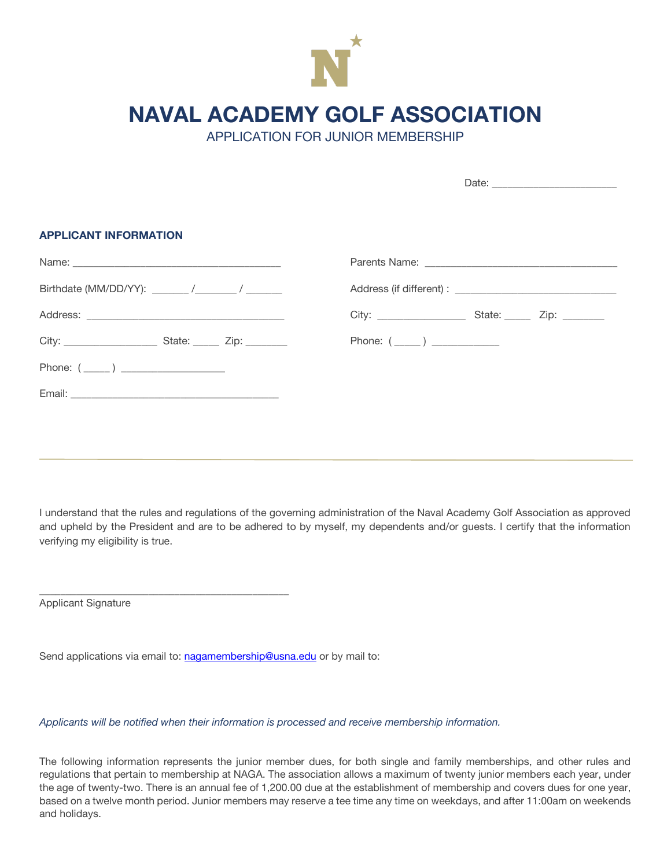

**NAVAL ACADEMY GOLF ASSOCIATION**

APPLICATION FOR JUNIOR MEMBERSHIP

| Phone: $(\_\_)$ |
|-----------------|
|                 |
|                 |
|                 |
|                 |

I understand that the rules and regulations of the governing administration of the Naval Academy Golf Association as approved and upheld by the President and are to be adhered to by myself, my dependents and/or guests. I certify that the information verifying my eligibility is true.

Applicant Signature

Send applications via email to: nagamembership@usna.edu or by mail to:

\_\_\_\_\_\_\_\_\_\_\_\_\_\_\_\_\_\_\_\_\_\_\_\_\_\_\_\_\_\_\_\_\_\_\_\_\_\_\_\_\_\_\_\_\_\_\_\_

*Applicants will be notified when their information is processed and receive membership information.*

The following information represents the junior member dues, for both single and family memberships, and other rules and regulations that pertain to membership at NAGA. The association allows a maximum of twenty junior members each year, under the age of twenty-two. There is an annual fee of 1,200.00 due at the establishment of membership and covers dues for one year, based on a twelve month period. Junior members may reserve a tee time any time on weekdays, and after 11:00am on weekends and holidays.